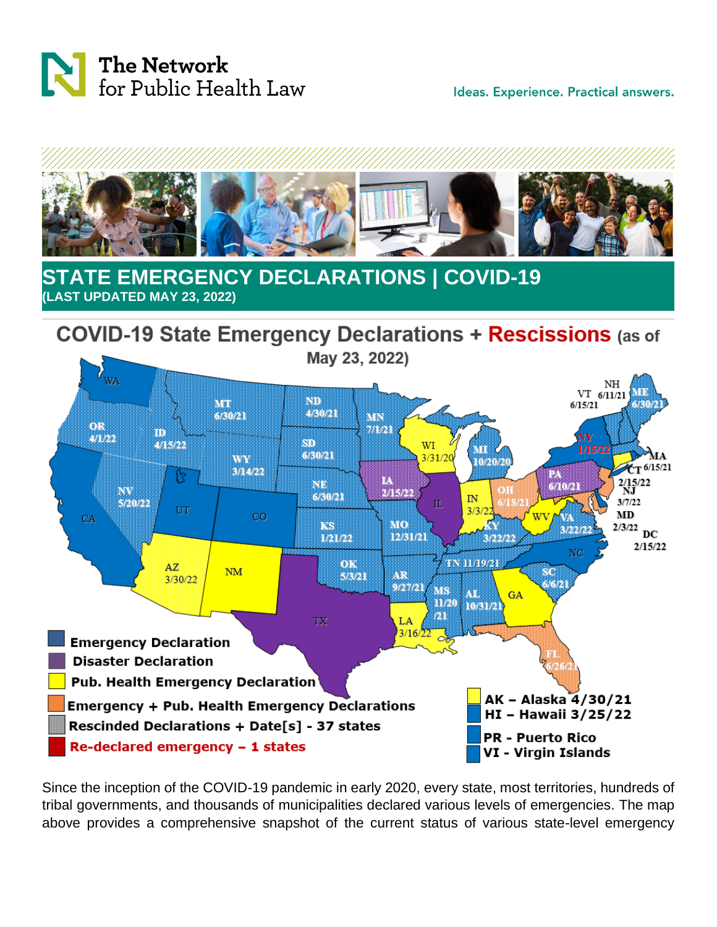

Ideas. Experience. Practical answers.



## **STATE EMERGENCY DECLARATIONS | COVID-19 (LAST UPDATED MAY 23, 2022)**



Since the inception of the COVID-19 pandemic in early 2020, every state, most territories, hundreds of tribal governments, and thousands of municipalities declared various levels of emergencies. The map above provides a comprehensive snapshot of the current status of various state-level emergency